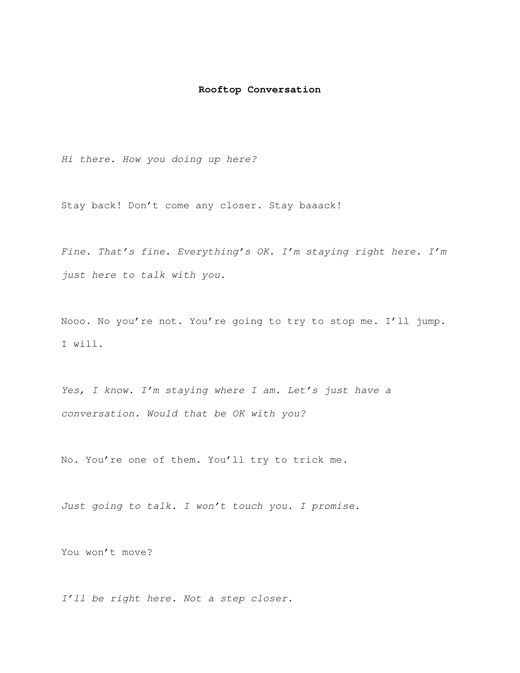## **Rooftop Conversation**

Hi there. How you doing up here?

Stay back! Don't come any closer. Stay baaack!

Fine. That's fine. Everything's OK. I'm staying right here. I'm just here to talk with you.

Nooo. No you're not. You're going to try to stop me. I'll jump. I will.

Yes, I know. I'm staying where I am. Let's just have a conversation. Would that be OK with you?

No. You're one of them. You'll try to trick me.

Just going to talk. I won't touch you. I promise.

You won't move?

I'll be right here. Not a step closer.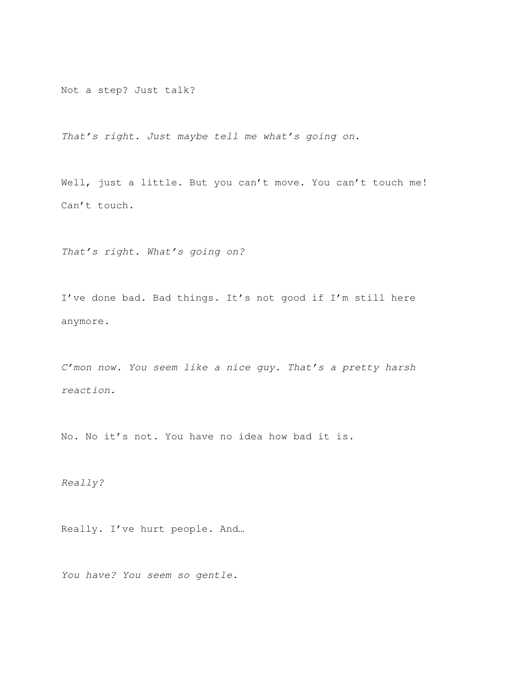Not a step? Just talk?

That's right. Just maybe tell me what's going on.

Well, just a little. But you can't move. You can't touch me! Can't touch.

That's right. What's going on?

I've done bad. Bad things. It's not good if I'm still here anymore.

C'mon now. You seem like a nice guy. That's a pretty harsh reaction.

No. No it's not. You have no idea how bad it is.

Really?

Really. I've hurt people. And…

You have? You seem so gentle.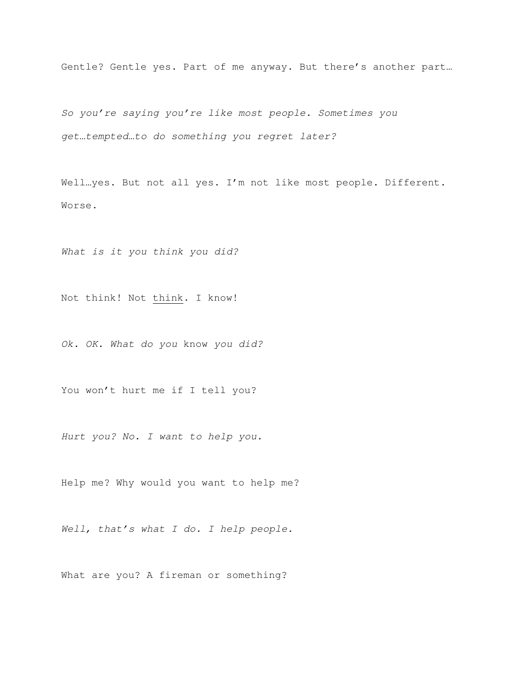Gentle? Gentle yes. Part of me anyway. But there's another part…

So you're saying you're like most people. Sometimes you get…tempted…to do something you regret later?

Well…yes. But not all yes. I'm not like most people. Different. Worse.

What is it you think you did?

Not think! Not think. I know!

Ok. OK. What do you know you did?

You won't hurt me if I tell you?

Hurt you? No. I want to help you.

Help me? Why would you want to help me?

Well, that's what I do. I help people.

What are you? A fireman or something?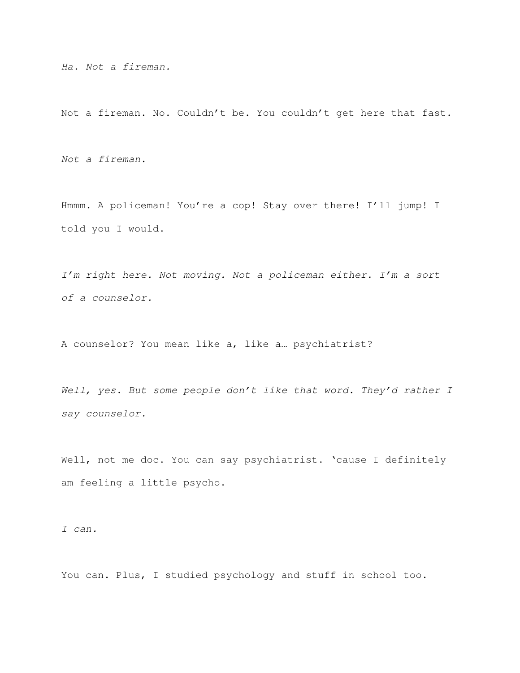Ha. Not a fireman.

Not a fireman. No. Couldn't be. You couldn't get here that fast.

Not a fireman.

Hmmm. A policeman! You're a cop! Stay over there! I'll jump! I told you I would.

I'm right here. Not moving. Not a policeman either. I'm a sort of a counselor.

A counselor? You mean like a, like a… psychiatrist?

Well, yes. But some people don't like that word. They'd rather I say counselor.

Well, not me doc. You can say psychiatrist. 'cause I definitely am feeling a little psycho.

I can.

You can. Plus, I studied psychology and stuff in school too.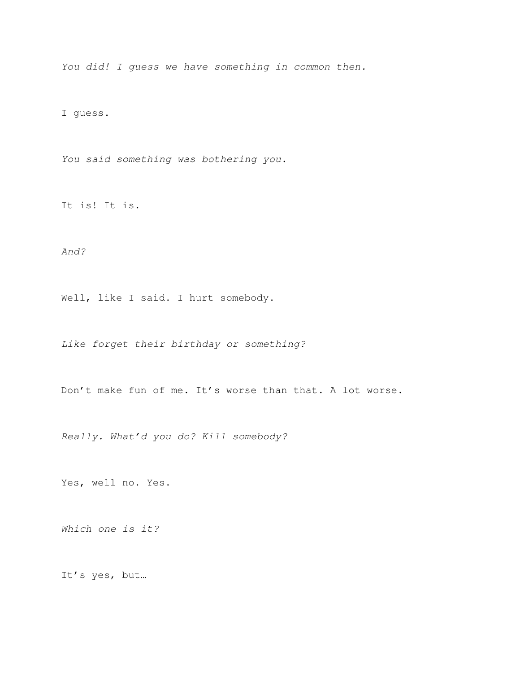You did! I guess we have something in common then.

I guess.

You said something was bothering you.

It is! It is.

And?

Well, like I said. I hurt somebody.

Like forget their birthday or something?

Don't make fun of me. It's worse than that. A lot worse.

Really. What'd you do? Kill somebody?

Yes, well no. Yes.

Which one is it?

It's yes, but…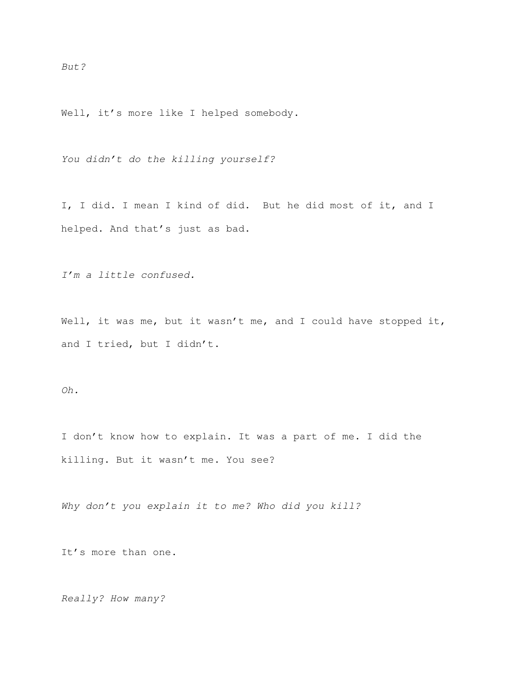But?

Well, it's more like I helped somebody.

You didn't do the killing yourself?

I, I did. I mean I kind of did. But he did most of it, and I helped. And that's just as bad.

I'm a little confused.

Well, it was me, but it wasn't me, and I could have stopped it, and I tried, but I didn't.

Oh.

I don't know how to explain. It was a part of me. I did the killing. But it wasn't me. You see?

Why don't you explain it to me? Who did you kill?

It's more than one.

Really? How many?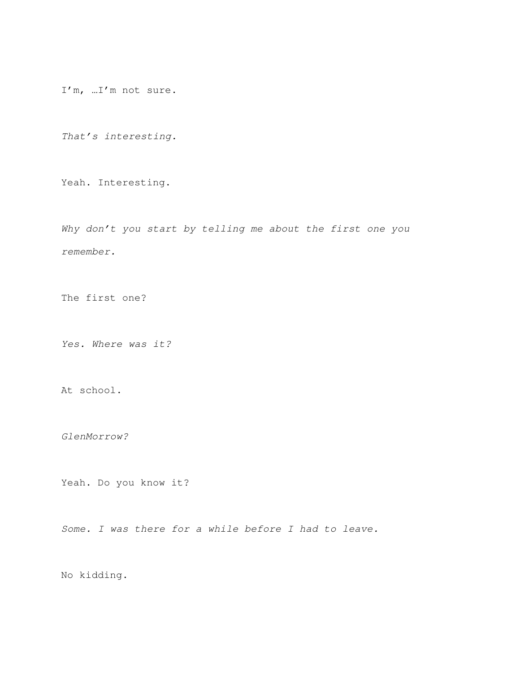I'm, …I'm not sure.

That's interesting.

Yeah. Interesting.

Why don't you start by telling me about the first one you remember.

The first one?

Yes. Where was it?

At school.

GlenMorrow?

Yeah. Do you know it?

Some. I was there for a while before I had to leave.

No kidding.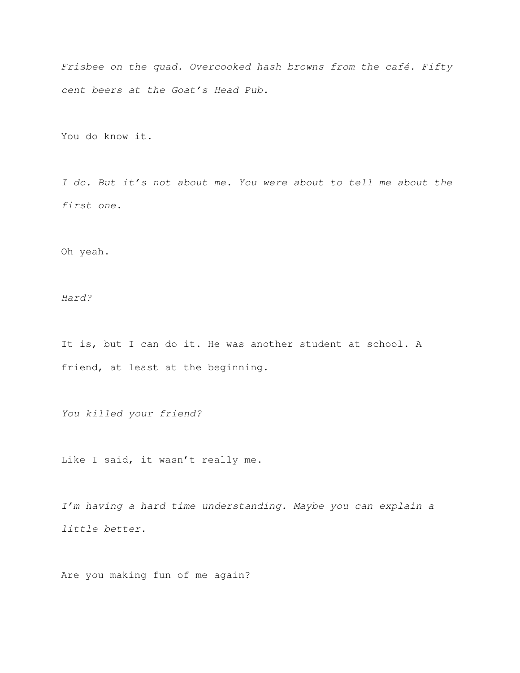Frisbee on the quad. Overcooked hash browns from the café. Fifty cent beers at the Goat's Head Pub.

You do know it.

I do. But it's not about me. You were about to tell me about the first one.

Oh yeah.

Hard?

It is, but I can do it. He was another student at school. A friend, at least at the beginning.

You killed your friend?

Like I said, it wasn't really me.

I'm having a hard time understanding. Maybe you can explain a little better.

Are you making fun of me again?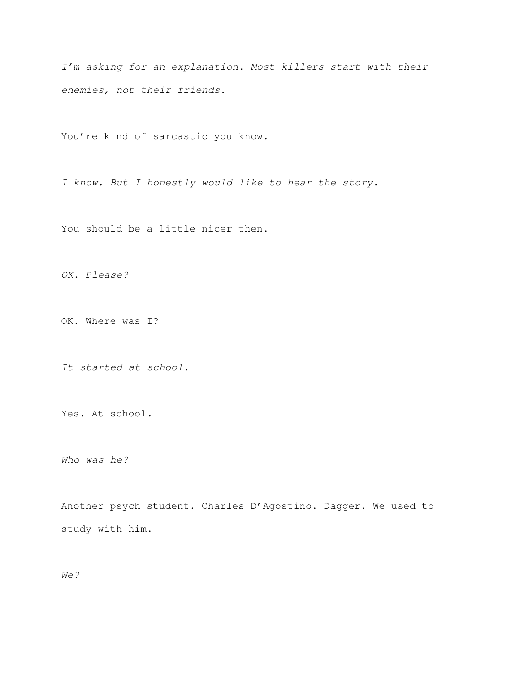I'm asking for an explanation. Most killers start with their enemies, not their friends.

You're kind of sarcastic you know.

I know. But I honestly would like to hear the story.

You should be a little nicer then.

OK. Please?

OK. Where was I?

It started at school.

Yes. At school.

Who was he?

Another psych student. Charles D'Agostino. Dagger. We used to study with him.

We?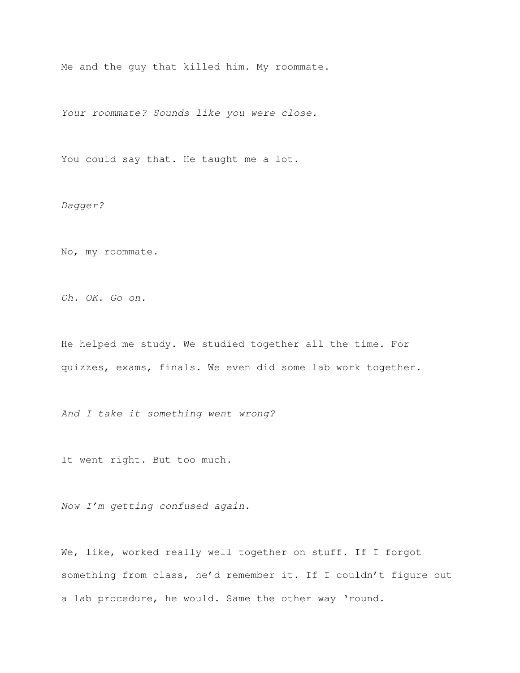Me and the guy that killed him. My roommate.

Your roommate? Sounds like you were close.

You could say that. He taught me a lot.

Dagger?

No, my roommate.

Oh. OK. Go on.

He helped me study. We studied together all the time. For quizzes, exams, finals. We even did some lab work together.

And I take it something went wrong?

It went right. But too much.

Now I'm getting confused again.

We, like, worked really well together on stuff. If I forgot something from class, he'd remember it. If I couldn't figure out a lab procedure, he would. Same the other way 'round.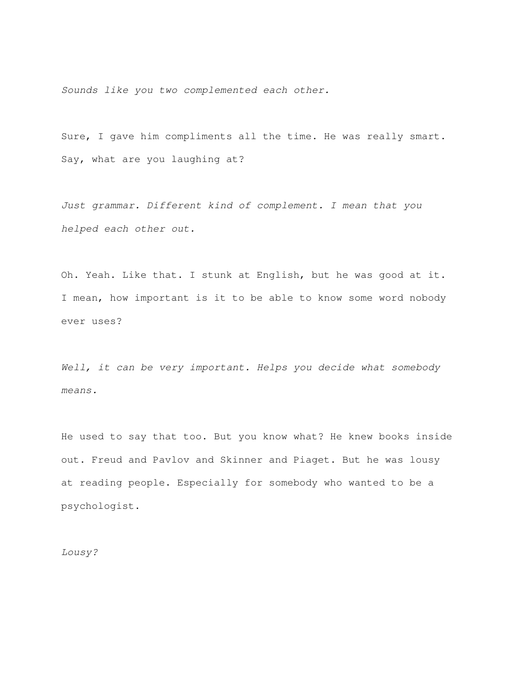Sounds like you two complemented each other.

Sure, I gave him compliments all the time. He was really smart. Say, what are you laughing at?

Just grammar. Different kind of complement. I mean that you helped each other out.

Oh. Yeah. Like that. I stunk at English, but he was good at it. I mean, how important is it to be able to know some word nobody ever uses?

Well, it can be very important. Helps you decide what somebody means.

He used to say that too. But you know what? He knew books inside out. Freud and Pavlov and Skinner and Piaget. But he was lousy at reading people. Especially for somebody who wanted to be a psychologist.

Lousy?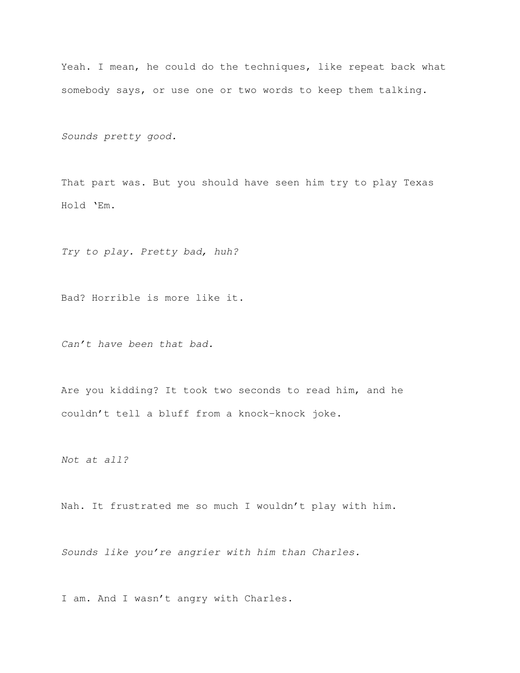Yeah. I mean, he could do the techniques, like repeat back what somebody says, or use one or two words to keep them talking.

Sounds pretty good.

That part was. But you should have seen him try to play Texas Hold 'Em.

Try to play. Pretty bad, huh?

Bad? Horrible is more like it.

Can't have been that bad.

Are you kidding? It took two seconds to read him, and he couldn't tell a bluff from a knock-knock joke.

Not at all?

Nah. It frustrated me so much I wouldn't play with him.

Sounds like you're angrier with him than Charles.

I am. And I wasn't angry with Charles.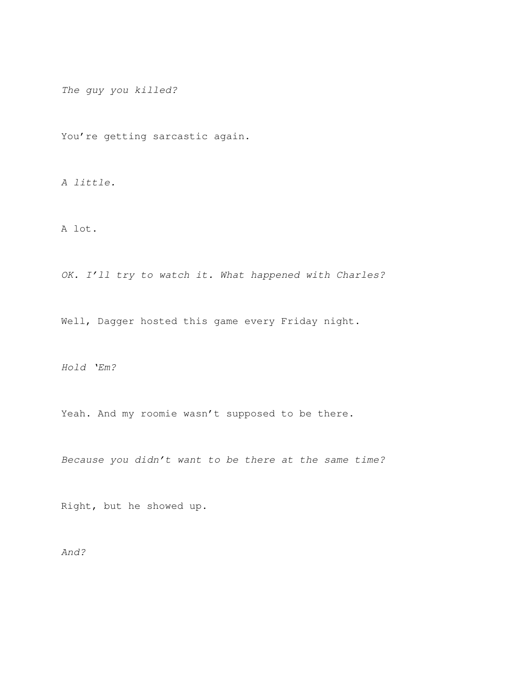The guy you killed?

You're getting sarcastic again.

A little.

A lot.

OK. I'll try to watch it. What happened with Charles?

Well, Dagger hosted this game every Friday night.

Hold 'Em?

Yeah. And my roomie wasn't supposed to be there.

Because you didn't want to be there at the same time?

Right, but he showed up.

And?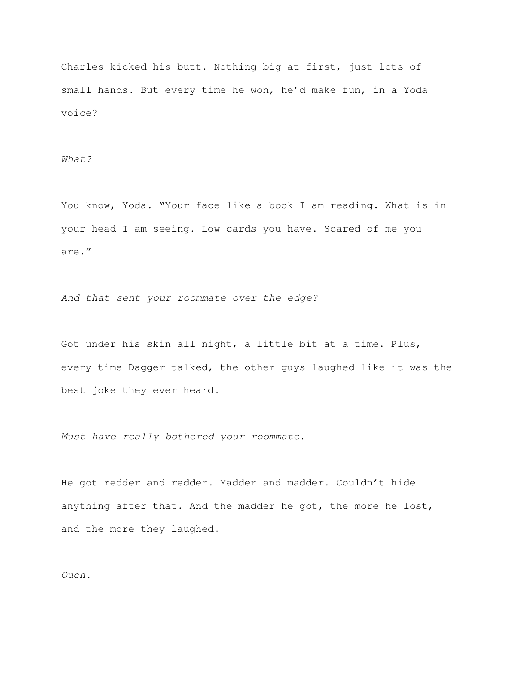Charles kicked his butt. Nothing big at first, just lots of small hands. But every time he won, he'd make fun, in a Yoda voice?

What?

You know, Yoda. "Your face like a book I am reading. What is in your head I am seeing. Low cards you have. Scared of me you are."

And that sent your roommate over the edge?

Got under his skin all night, a little bit at a time. Plus, every time Dagger talked, the other guys laughed like it was the best joke they ever heard.

Must have really bothered your roommate.

He got redder and redder. Madder and madder. Couldn't hide anything after that. And the madder he got, the more he lost, and the more they laughed.

Ouch.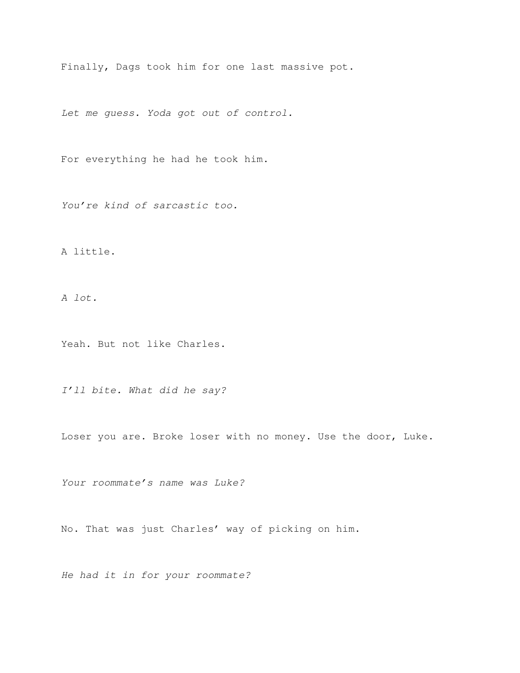Finally, Dags took him for one last massive pot.

Let me guess. Yoda got out of control.

For everything he had he took him.

You're kind of sarcastic too.

A little.

A lot.

Yeah. But not like Charles.

I'll bite. What did he say?

Loser you are. Broke loser with no money. Use the door, Luke.

Your roommate's name was Luke?

No. That was just Charles' way of picking on him.

He had it in for your roommate?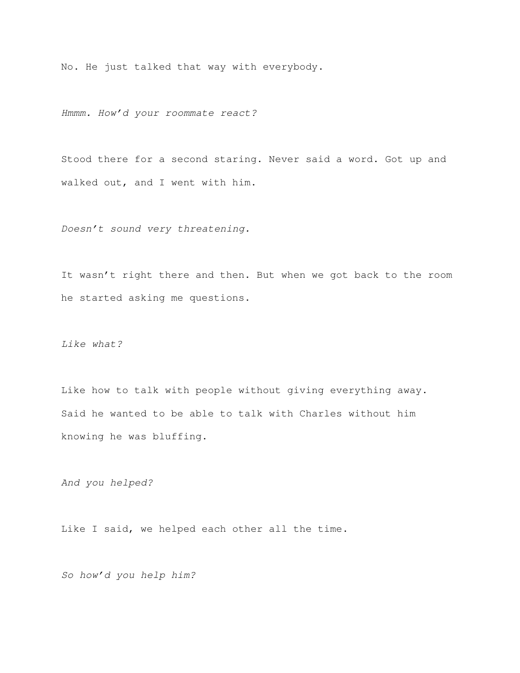No. He just talked that way with everybody.

Hmmm. How'd your roommate react?

Stood there for a second staring. Never said a word. Got up and walked out, and I went with him.

Doesn't sound very threatening.

It wasn't right there and then. But when we got back to the room he started asking me questions.

Like what?

Like how to talk with people without giving everything away. Said he wanted to be able to talk with Charles without him knowing he was bluffing.

And you helped?

Like I said, we helped each other all the time.

So how'd you help him?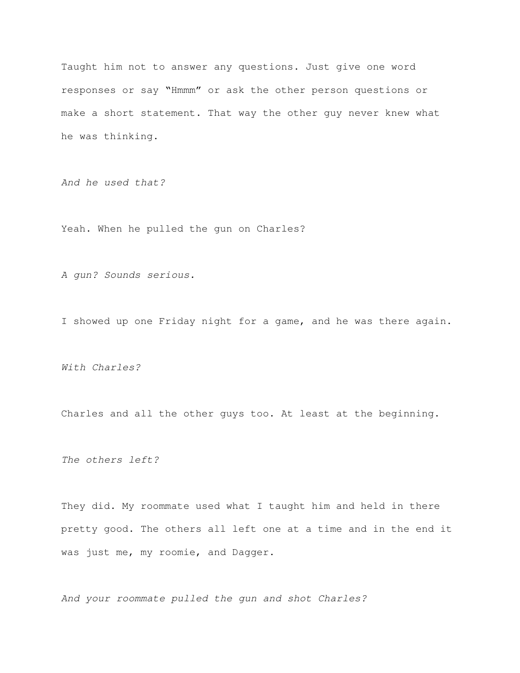Taught him not to answer any questions. Just give one word responses or say "Hmmm" or ask the other person questions or make a short statement. That way the other guy never knew what he was thinking.

And he used that?

Yeah. When he pulled the gun on Charles?

A gun? Sounds serious.

I showed up one Friday night for a game, and he was there again.

With Charles?

Charles and all the other guys too. At least at the beginning.

The others left?

They did. My roommate used what I taught him and held in there pretty good. The others all left one at a time and in the end it was just me, my roomie, and Dagger.

And your roommate pulled the gun and shot Charles?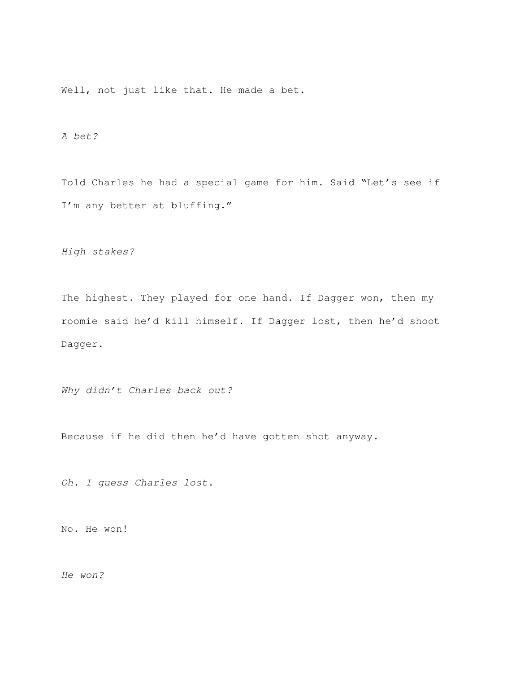Well, not just like that. He made a bet.

A bet?

Told Charles he had a special game for him. Said "Let's see if I'm any better at bluffing."

High stakes?

The highest. They played for one hand. If Dagger won, then my roomie said he'd kill himself. If Dagger lost, then he'd shoot Dagger.

Why didn't Charles back out?

Because if he did then he'd have gotten shot anyway.

Oh. I guess Charles lost.

No. He won!

He won?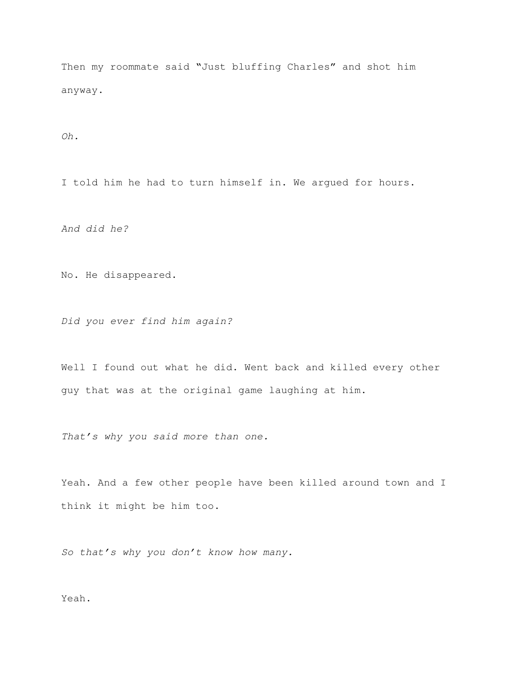Then my roommate said "Just bluffing Charles" and shot him anyway.

Oh.

I told him he had to turn himself in. We argued for hours.

And did he?

No. He disappeared.

Did you ever find him again?

Well I found out what he did. Went back and killed every other guy that was at the original game laughing at him.

That's why you said more than one.

Yeah. And a few other people have been killed around town and I think it might be him too.

So that's why you don't know how many.

Yeah.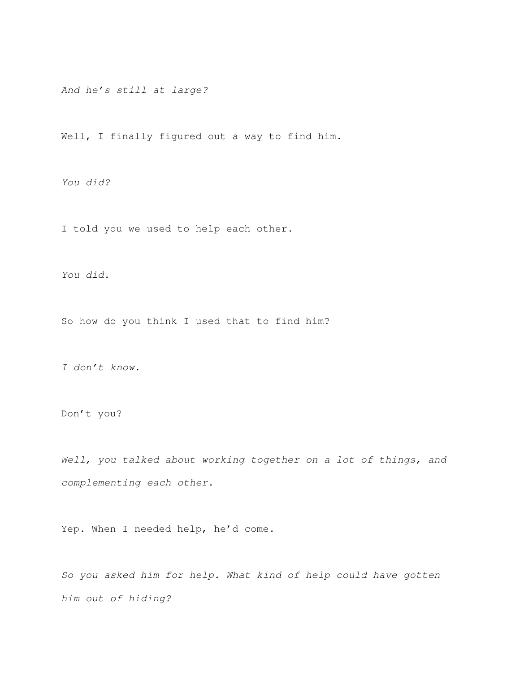And he's still at large?

Well, I finally figured out a way to find him.

You did?

I told you we used to help each other.

You did.

So how do you think I used that to find him?

I don't know.

Don't you?

Well, you talked about working together on a lot of things, and complementing each other.

Yep. When I needed help, he'd come.

So you asked him for help. What kind of help could have gotten him out of hiding?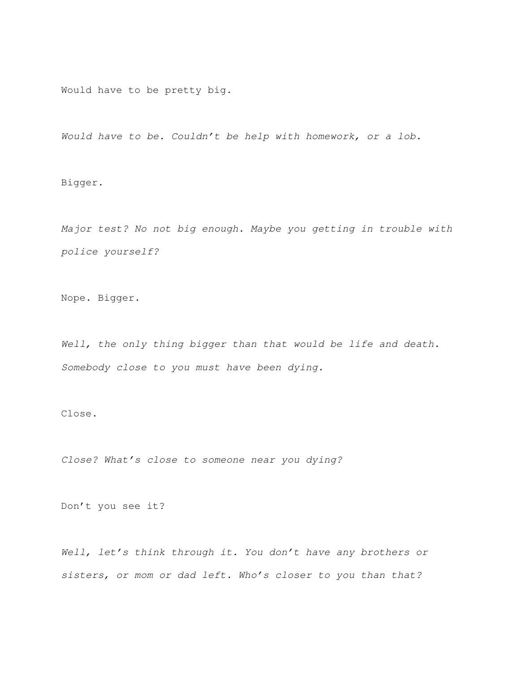Would have to be pretty big.

Would have to be. Couldn't be help with homework, or a lob.

Bigger.

Major test? No not big enough. Maybe you getting in trouble with police yourself?

Nope. Bigger.

Well, the only thing bigger than that would be life and death. Somebody close to you must have been dying.

Close.

Close? What's close to someone near you dying?

Don't you see it?

Well, let's think through it. You don't have any brothers or sisters, or mom or dad left. Who's closer to you than that?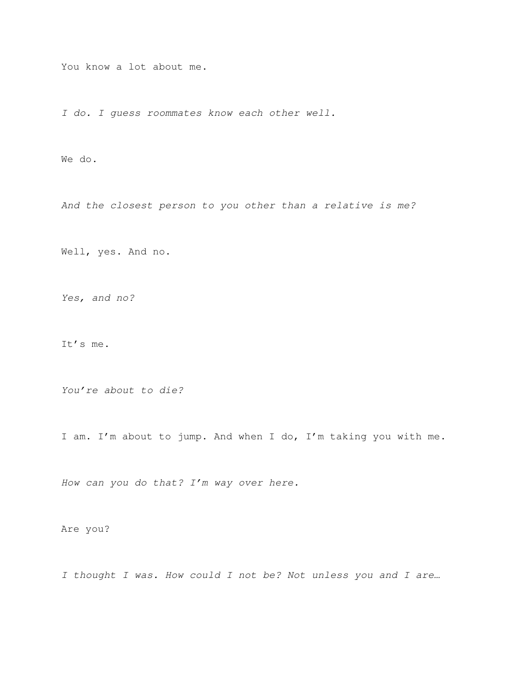You know a lot about me.

I do. I guess roommates know each other well.

We do.

And the closest person to you other than a relative is me?

Well, yes. And no.

Yes, and no?

It's me.

You're about to die?

I am. I'm about to jump. And when I do, I'm taking you with me.

How can you do that? I'm way over here.

Are you?

I thought I was. How could I not be? Not unless you and I are…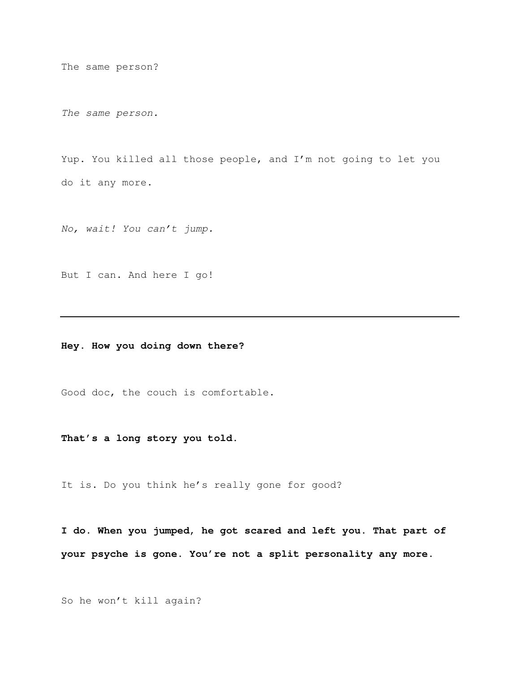The same person?

The same person.

Yup. You killed all those people, and I'm not going to let you do it any more.

No, wait! You can't jump.

But I can. And here I go!

**Hey. How you doing down there?** 

Good doc, the couch is comfortable.

**That's a long story you told.** 

It is. Do you think he's really gone for good?

**I do. When you jumped, he got scared and left you. That part of your psyche is gone. You're not a split personality any more.** 

So he won't kill again?